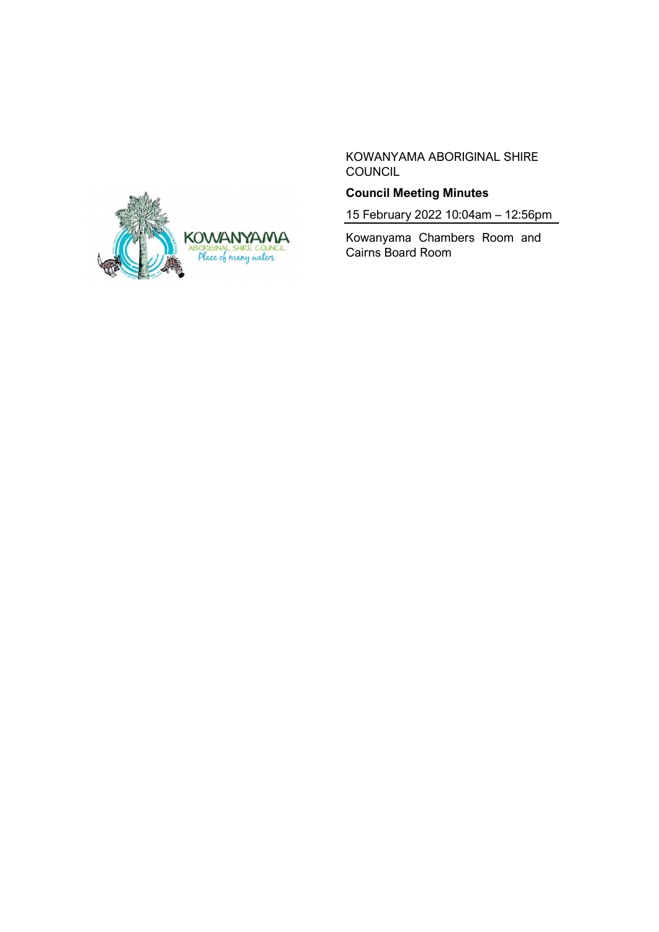

KOWANYAMA ABORIGINAL SHIRE **COUNCIL** 

# **Council Meeting Minutes**

15 February 2022 10:04am – 12:56pm

Kowanyama Chambers Room and Cairns Board Room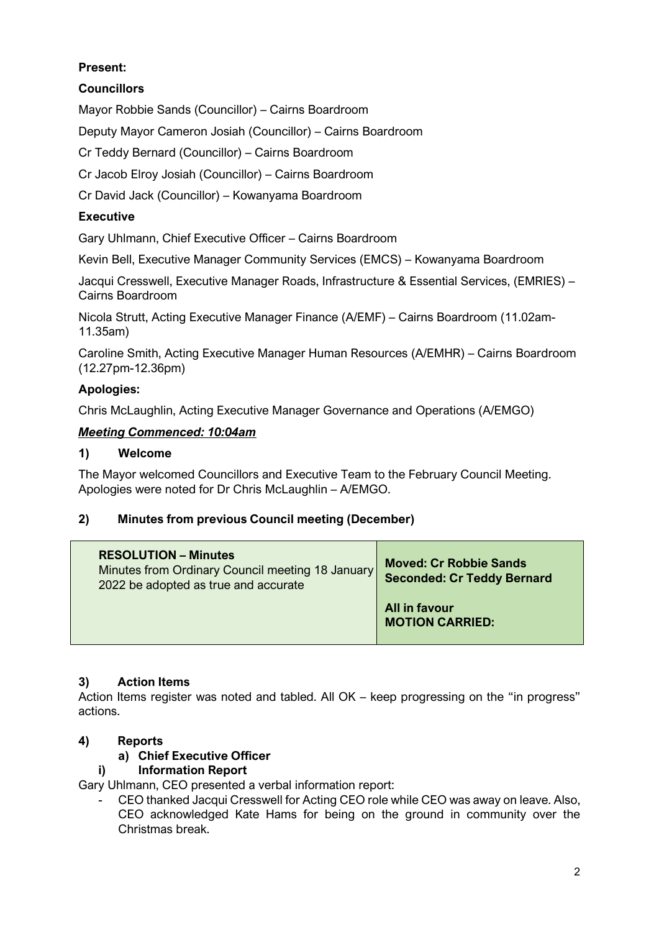# **Present:**

# **Councillors**

Mayor Robbie Sands (Councillor) – Cairns Boardroom

Deputy Mayor Cameron Josiah (Councillor) – Cairns Boardroom

Cr Teddy Bernard (Councillor) – Cairns Boardroom

Cr Jacob Elroy Josiah (Councillor) – Cairns Boardroom

Cr David Jack (Councillor) – Kowanyama Boardroom

## **Executive**

Gary Uhlmann, Chief Executive Officer – Cairns Boardroom

Kevin Bell, Executive Manager Community Services (EMCS) – Kowanyama Boardroom

Jacqui Cresswell, Executive Manager Roads, Infrastructure & Essential Services, (EMRIES) – Cairns Boardroom

Nicola Strutt, Acting Executive Manager Finance (A/EMF) – Cairns Boardroom (11.02am-11.35am)

Caroline Smith, Acting Executive Manager Human Resources (A/EMHR) – Cairns Boardroom (12.27pm-12.36pm)

## **Apologies:**

Chris McLaughlin, Acting Executive Manager Governance and Operations (A/EMGO)

## *Meeting Commenced: 10:04am*

#### **1) Welcome**

The Mayor welcomed Councillors and Executive Team to the February Council Meeting. Apologies were noted for Dr Chris McLaughlin – A/EMGO.

## **2) Minutes from previous Council meeting (December)**

| <b>RESOLUTION – Minutes</b><br>Minutes from Ordinary Council meeting 18 January<br>2022 be adopted as true and accurate | <b>Moved: Cr Robbie Sands</b><br><b>Seconded: Cr Teddy Bernard</b> |
|-------------------------------------------------------------------------------------------------------------------------|--------------------------------------------------------------------|
|                                                                                                                         | All in favour<br><b>MOTION CARRIED:</b>                            |

## **3) Action Items**

Action Items register was noted and tabled. All OK – keep progressing on the "in progress" actions.

# **4) Reports**

# **a) Chief Executive Officer**

## **i) Information Report**

Gary Uhlmann, CEO presented a verbal information report:

- CEO thanked Jacqui Cresswell for Acting CEO role while CEO was away on leave. Also, CEO acknowledged Kate Hams for being on the ground in community over the Christmas break.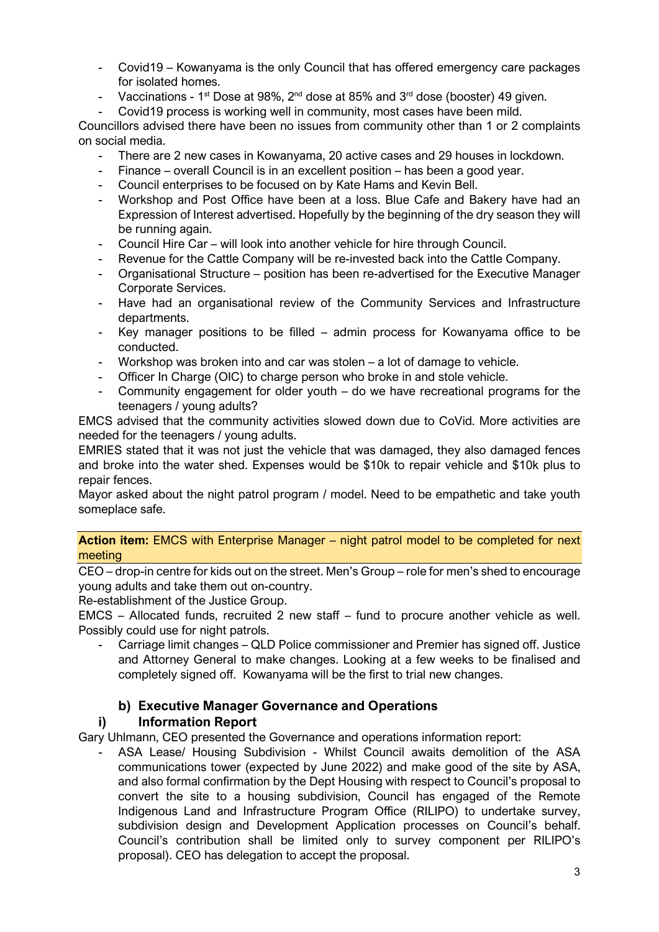- Covid19 Kowanyama is the only Council that has offered emergency care packages for isolated homes.
- Vaccinations 1<sup>st</sup> Dose at 98%,  $2^{nd}$  dose at 85% and  $3^{rd}$  dose (booster) 49 given.
- Covid19 process is working well in community, most cases have been mild.

Councillors advised there have been no issues from community other than 1 or 2 complaints on social media.

- There are 2 new cases in Kowanyama, 20 active cases and 29 houses in lockdown.
- Finance overall Council is in an excellent position has been a good year.
- Council enterprises to be focused on by Kate Hams and Kevin Bell.
- Workshop and Post Office have been at a loss. Blue Cafe and Bakery have had an Expression of Interest advertised. Hopefully by the beginning of the dry season they will be running again.
- Council Hire Car will look into another vehicle for hire through Council.
- Revenue for the Cattle Company will be re-invested back into the Cattle Company.
- Organisational Structure position has been re-advertised for the Executive Manager Corporate Services.
- Have had an organisational review of the Community Services and Infrastructure departments.
- Key manager positions to be filled admin process for Kowanyama office to be conducted.
- Workshop was broken into and car was stolen a lot of damage to vehicle.
- Officer In Charge (OIC) to charge person who broke in and stole vehicle.
- Community engagement for older youth  $-$  do we have recreational programs for the teenagers / young adults?

EMCS advised that the community activities slowed down due to CoVid. More activities are needed for the teenagers / young adults.

EMRIES stated that it was not just the vehicle that was damaged, they also damaged fences and broke into the water shed. Expenses would be \$10k to repair vehicle and \$10k plus to repair fences.

Mayor asked about the night patrol program / model. Need to be empathetic and take youth someplace safe.

**Action item:** EMCS with Enterprise Manager – night patrol model to be completed for next meeting

CEO – drop-in centre for kids out on the street. Men's Group – role for men's shed to encourage young adults and take them out on-country.

Re-establishment of the Justice Group.

EMCS – Allocated funds, recruited 2 new staff – fund to procure another vehicle as well. Possibly could use for night patrols.

Carriage limit changes – QLD Police commissioner and Premier has signed off. Justice and Attorney General to make changes. Looking at a few weeks to be finalised and completely signed off. Kowanyama will be the first to trial new changes.

## **b) Executive Manager Governance and Operations**

## **i) Information Report**

Gary Uhlmann, CEO presented the Governance and operations information report:

ASA Lease/ Housing Subdivision - Whilst Council awaits demolition of the ASA communications tower (expected by June 2022) and make good of the site by ASA, and also formal confirmation by the Dept Housing with respect to Council's proposal to convert the site to a housing subdivision, Council has engaged of the Remote Indigenous Land and Infrastructure Program Office (RILIPO) to undertake survey, subdivision design and Development Application processes on Council's behalf. Council's contribution shall be limited only to survey component per RILIPO's proposal). CEO has delegation to accept the proposal.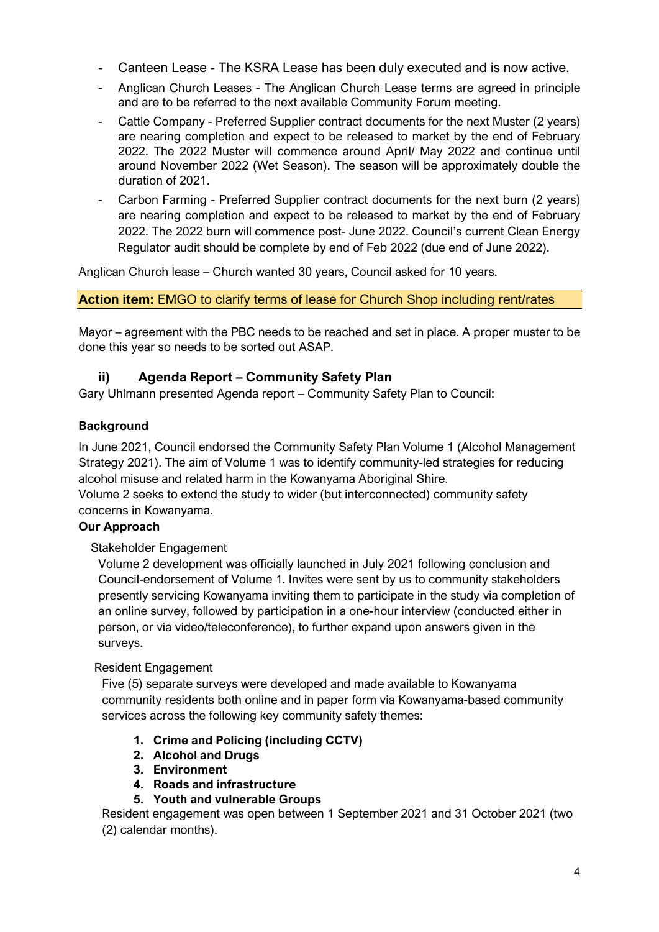- Canteen Lease The KSRA Lease has been duly executed and is now active.
- Anglican Church Leases The Anglican Church Lease terms are agreed in principle and are to be referred to the next available Community Forum meeting.
- Cattle Company Preferred Supplier contract documents for the next Muster (2 years) are nearing completion and expect to be released to market by the end of February 2022. The 2022 Muster will commence around April/ May 2022 and continue until around November 2022 (Wet Season). The season will be approximately double the duration of 2021.
- Carbon Farming Preferred Supplier contract documents for the next burn (2 years) are nearing completion and expect to be released to market by the end of February 2022. The 2022 burn will commence post- June 2022. Council's current Clean Energy Regulator audit should be complete by end of Feb 2022 (due end of June 2022).

Anglican Church lease – Church wanted 30 years, Council asked for 10 years.

**Action item:** EMGO to clarify terms of lease for Church Shop including rent/rates

Mayor – agreement with the PBC needs to be reached and set in place. A proper muster to be done this year so needs to be sorted out ASAP.

## **ii) Agenda Report – Community Safety Plan**

Gary Uhlmann presented Agenda report – Community Safety Plan to Council:

## **Background**

In June 2021, Council endorsed the Community Safety Plan Volume 1 (Alcohol Management Strategy 2021). The aim of Volume 1 was to identify community-led strategies for reducing alcohol misuse and related harm in the Kowanyama Aboriginal Shire.

Volume 2 seeks to extend the study to wider (but interconnected) community safety concerns in Kowanyama.

## **Our Approach**

#### Stakeholder Engagement

Volume 2 development was officially launched in July 2021 following conclusion and Council-endorsement of Volume 1. Invites were sent by us to community stakeholders presently servicing Kowanyama inviting them to participate in the study via completion of an online survey, followed by participation in a one-hour interview (conducted either in person, or via video/teleconference), to further expand upon answers given in the surveys.

#### Resident Engagement

Five (5) separate surveys were developed and made available to Kowanyama community residents both online and in paper form via Kowanyama-based community services across the following key community safety themes:

- **1. Crime and Policing (including CCTV)**
- **2. Alcohol and Drugs**
- **3. Environment**
- **4. Roads and infrastructure**
- **5. Youth and vulnerable Groups**

Resident engagement was open between 1 September 2021 and 31 October 2021 (two (2) calendar months).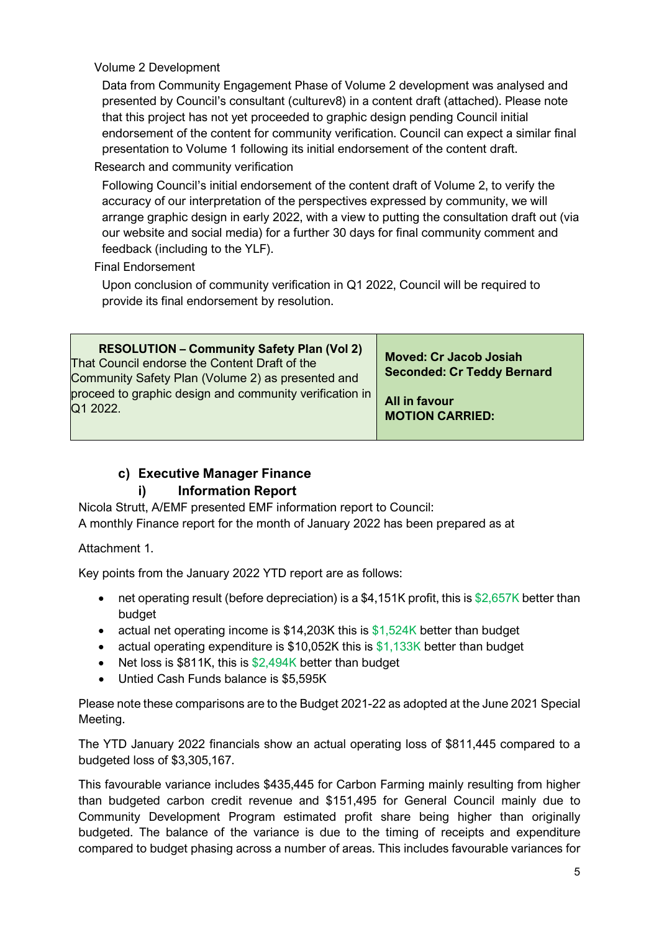Volume 2 Development

Data from Community Engagement Phase of Volume 2 development was analysed and presented by Council's consultant (culturev8) in a content draft (attached). Please note that this project has not yet proceeded to graphic design pending Council initial endorsement of the content for community verification. Council can expect a similar final presentation to Volume 1 following its initial endorsement of the content draft.

Research and community verification

Following Council's initial endorsement of the content draft of Volume 2, to verify the accuracy of our interpretation of the perspectives expressed by community, we will arrange graphic design in early 2022, with a view to putting the consultation draft out (via our website and social media) for a further 30 days for final community comment and feedback (including to the YLF).

Final Endorsement

Upon conclusion of community verification in Q1 2022, Council will be required to provide its final endorsement by resolution.

| <b>RESOLUTION – Community Safety Plan (Vol 2)</b><br>That Council endorse the Content Draft of the<br>Community Safety Plan (Volume 2) as presented and | <b>Moved: Cr Jacob Josiah</b><br><b>Seconded: Cr Teddy Bernard</b> |
|---------------------------------------------------------------------------------------------------------------------------------------------------------|--------------------------------------------------------------------|
| proceed to graphic design and community verification in                                                                                                 | All in favour                                                      |
| Q1 2022.                                                                                                                                                | <b>MOTION CARRIED:</b>                                             |

# **c) Executive Manager Finance**

# **i) Information Report**

Nicola Strutt, A/EMF presented EMF information report to Council: A monthly Finance report for the month of January 2022 has been prepared as at

Attachment 1.

Key points from the January 2022 YTD report are as follows:

- net operating result (before depreciation) is a \$4,151K profit, this is \$2,657K better than budget
- actual net operating income is \$14,203K this is \$1,524K better than budget
- actual operating expenditure is \$10,052K this is \$1,133K better than budget
- Net loss is \$811K, this is \$2,494K better than budget
- Untied Cash Funds balance is \$5,595K

Please note these comparisons are to the Budget 2021-22 as adopted at the June 2021 Special Meeting.

The YTD January 2022 financials show an actual operating loss of \$811,445 compared to a budgeted loss of \$3,305,167.

This favourable variance includes \$435,445 for Carbon Farming mainly resulting from higher than budgeted carbon credit revenue and \$151,495 for General Council mainly due to Community Development Program estimated profit share being higher than originally budgeted. The balance of the variance is due to the timing of receipts and expenditure compared to budget phasing across a number of areas. This includes favourable variances for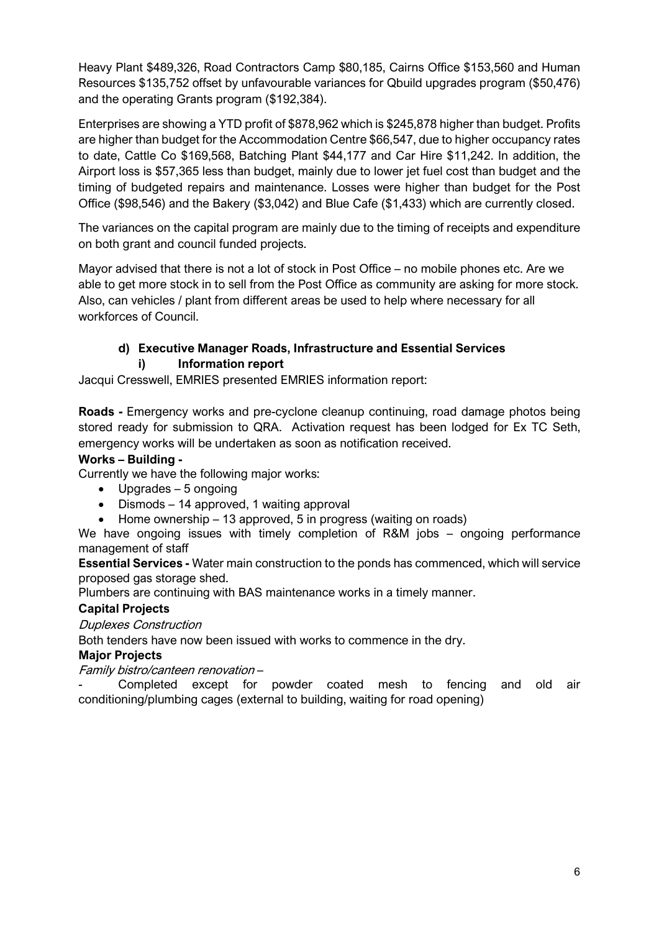Heavy Plant \$489,326, Road Contractors Camp \$80,185, Cairns Office \$153,560 and Human Resources \$135,752 offset by unfavourable variances for Qbuild upgrades program (\$50,476) and the operating Grants program (\$192,384).

Enterprises are showing a YTD profit of \$878,962 which is \$245,878 higher than budget. Profits are higher than budget for the Accommodation Centre \$66,547, due to higher occupancy rates to date, Cattle Co \$169,568, Batching Plant \$44,177 and Car Hire \$11,242. In addition, the Airport loss is \$57,365 less than budget, mainly due to lower jet fuel cost than budget and the timing of budgeted repairs and maintenance. Losses were higher than budget for the Post Office (\$98,546) and the Bakery (\$3,042) and Blue Cafe (\$1,433) which are currently closed.

The variances on the capital program are mainly due to the timing of receipts and expenditure on both grant and council funded projects.

Mayor advised that there is not a lot of stock in Post Office – no mobile phones etc. Are we able to get more stock in to sell from the Post Office as community are asking for more stock. Also, can vehicles / plant from different areas be used to help where necessary for all workforces of Council.

#### **d) Executive Manager Roads, Infrastructure and Essential Services i) Information report**

Jacqui Cresswell, EMRIES presented EMRIES information report:

**Roads -** Emergency works and pre-cyclone cleanup continuing, road damage photos being stored ready for submission to QRA. Activation request has been lodged for Ex TC Seth, emergency works will be undertaken as soon as notification received.

#### **Works – Building -**

Currently we have the following major works:

- Upgrades 5 ongoing
- Dismods 14 approved, 1 waiting approval
- Home ownership 13 approved, 5 in progress (waiting on roads)

We have ongoing issues with timely completion of R&M jobs – ongoing performance management of staff

**Essential Services -** Water main construction to the ponds has commenced, which will service proposed gas storage shed.

Plumbers are continuing with BAS maintenance works in a timely manner.

## **Capital Projects**

Duplexes Construction

Both tenders have now been issued with works to commence in the dry.

#### **Major Projects**

Family bistro/canteen renovation –

Completed except for powder coated mesh to fencing and old air conditioning/plumbing cages (external to building, waiting for road opening)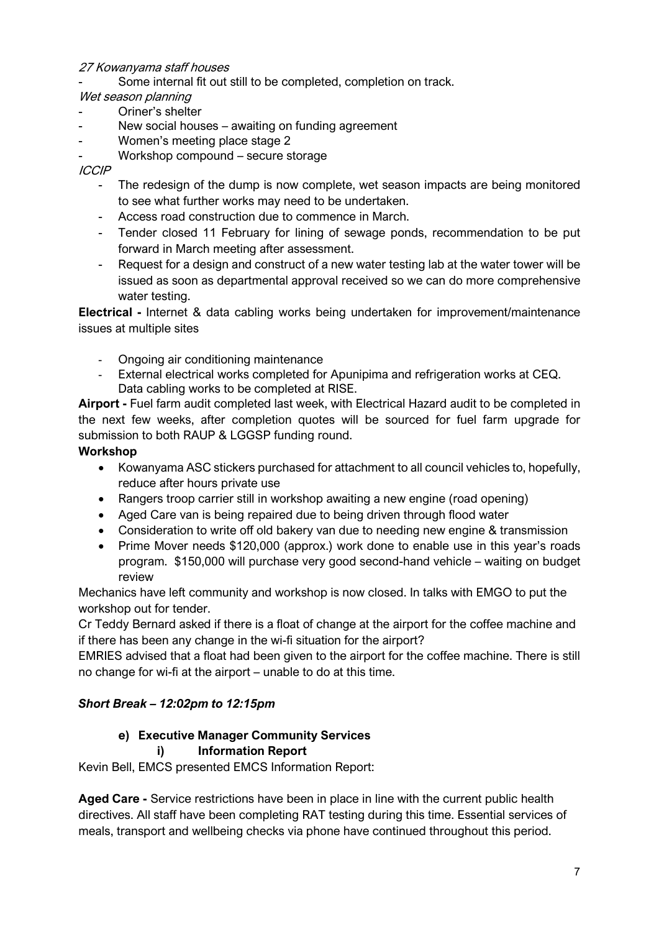## 27 Kowanyama staff houses

Some internal fit out still to be completed, completion on track.

## Wet season planning

- Oriner's shelter
- New social houses awaiting on funding agreement
- Women's meeting place stage 2
- Workshop compound secure storage

### ICCIP

- The redesign of the dump is now complete, wet season impacts are being monitored to see what further works may need to be undertaken.
- Access road construction due to commence in March.
- Tender closed 11 February for lining of sewage ponds, recommendation to be put forward in March meeting after assessment.
- Request for a design and construct of a new water testing lab at the water tower will be issued as soon as departmental approval received so we can do more comprehensive water testing.

**Electrical -** Internet & data cabling works being undertaken for improvement/maintenance issues at multiple sites

- Ongoing air conditioning maintenance
- External electrical works completed for Apunipima and refrigeration works at CEQ. Data cabling works to be completed at RISE.

**Airport -** Fuel farm audit completed last week, with Electrical Hazard audit to be completed in the next few weeks, after completion quotes will be sourced for fuel farm upgrade for submission to both RAUP & LGGSP funding round.

## **Workshop**

- Kowanyama ASC stickers purchased for attachment to all council vehicles to, hopefully, reduce after hours private use
- Rangers troop carrier still in workshop awaiting a new engine (road opening)
- Aged Care van is being repaired due to being driven through flood water
- Consideration to write off old bakery van due to needing new engine & transmission
- Prime Mover needs \$120,000 (approx.) work done to enable use in this year's roads program. \$150,000 will purchase very good second-hand vehicle – waiting on budget review

Mechanics have left community and workshop is now closed. In talks with EMGO to put the workshop out for tender.

Cr Teddy Bernard asked if there is a float of change at the airport for the coffee machine and if there has been any change in the wi-fi situation for the airport?

EMRIES advised that a float had been given to the airport for the coffee machine. There is still no change for wi-fi at the airport – unable to do at this time.

# *Short Break – 12:02pm to 12:15pm*

# **e) Executive Manager Community Services**

## **i) Information Report**

Kevin Bell, EMCS presented EMCS Information Report:

**Aged Care -** Service restrictions have been in place in line with the current public health directives. All staff have been completing RAT testing during this time. Essential services of meals, transport and wellbeing checks via phone have continued throughout this period.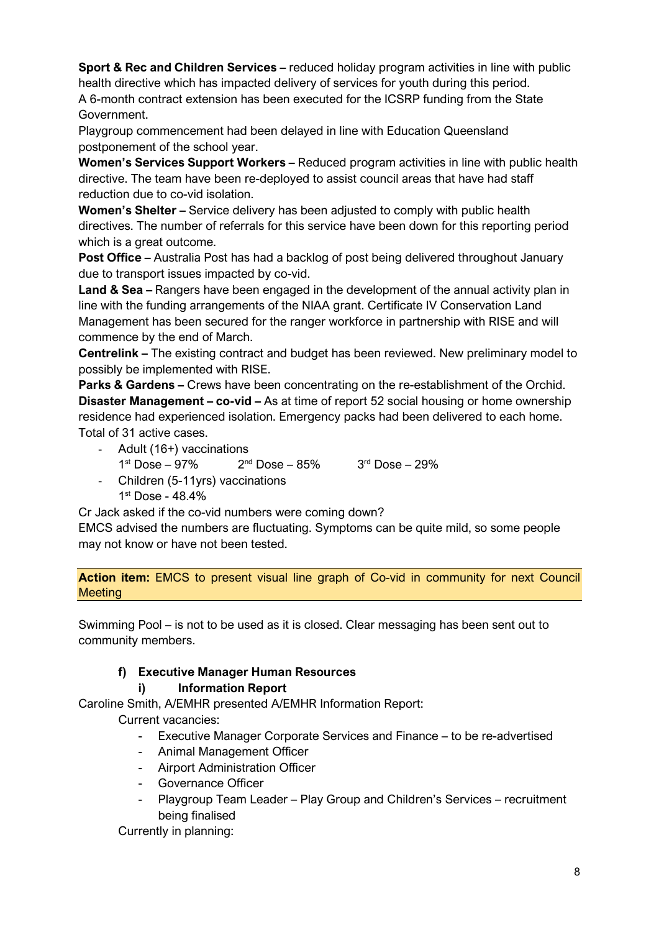**Sport & Rec and Children Services –** reduced holiday program activities in line with public health directive which has impacted delivery of services for youth during this period.

A 6-month contract extension has been executed for the ICSRP funding from the State Government.

Playgroup commencement had been delayed in line with Education Queensland postponement of the school year.

**Women's Services Support Workers –** Reduced program activities in line with public health directive. The team have been re-deployed to assist council areas that have had staff reduction due to co-vid isolation.

**Women's Shelter –** Service delivery has been adjusted to comply with public health directives. The number of referrals for this service have been down for this reporting period which is a great outcome.

**Post Office –** Australia Post has had a backlog of post being delivered throughout January due to transport issues impacted by co-vid.

**Land & Sea –** Rangers have been engaged in the development of the annual activity plan in line with the funding arrangements of the NIAA grant. Certificate IV Conservation Land Management has been secured for the ranger workforce in partnership with RISE and will commence by the end of March.

**Centrelink –** The existing contract and budget has been reviewed. New preliminary model to possibly be implemented with RISE.

**Parks & Gardens –** Crews have been concentrating on the re-establishment of the Orchid. **Disaster Management – co-vid –** As at time of report 52 social housing or home ownership residence had experienced isolation. Emergency packs had been delivered to each home. Total of 31 active cases.

- Adult (16+) vaccinations
	- $1^{st}$  Dose 97% 2<sup>nd</sup> Dose 85% 3<sup>rd</sup> Dose 29%
- Children (5-11yrs) vaccinations 1st Dose - 48.4%

Cr Jack asked if the co-vid numbers were coming down?

EMCS advised the numbers are fluctuating. Symptoms can be quite mild, so some people may not know or have not been tested.

**Action item:** EMCS to present visual line graph of Co-vid in community for next Council **Meeting** 

Swimming Pool – is not to be used as it is closed. Clear messaging has been sent out to community members.

# **f) Executive Manager Human Resources**

# **i) Information Report**

Caroline Smith, A/EMHR presented A/EMHR Information Report:

Current vacancies:

- Executive Manager Corporate Services and Finance to be re-advertised
- Animal Management Officer
- Airport Administration Officer
- Governance Officer
- Playgroup Team Leader Play Group and Children's Services recruitment being finalised

Currently in planning: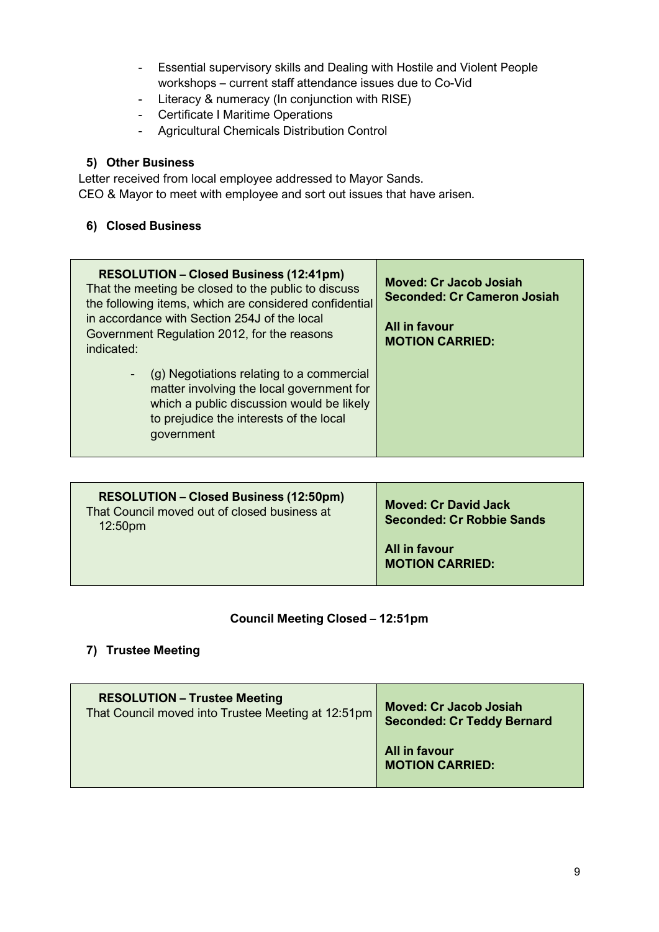- Essential supervisory skills and Dealing with Hostile and Violent People workshops – current staff attendance issues due to Co-Vid
- Literacy & numeracy (In conjunction with RISE)
- Certificate I Maritime Operations
- Agricultural Chemicals Distribution Control

## **5) Other Business**

Letter received from local employee addressed to Mayor Sands. CEO & Mayor to meet with employee and sort out issues that have arisen.

## **6) Closed Business**

| <b>RESOLUTION - Closed Business (12:41pm)</b><br>That the meeting be closed to the public to discuss<br>the following items, which are considered confidential<br>in accordance with Section 254J of the local<br>Government Regulation 2012, for the reasons<br>indicated: | <b>Moved: Cr Jacob Josiah</b><br><b>Seconded: Cr Cameron Josiah</b><br>All in favour<br><b>MOTION CARRIED:</b> |
|-----------------------------------------------------------------------------------------------------------------------------------------------------------------------------------------------------------------------------------------------------------------------------|----------------------------------------------------------------------------------------------------------------|
| (g) Negotiations relating to a commercial<br>$\blacksquare$<br>matter involving the local government for<br>which a public discussion would be likely<br>to prejudice the interests of the local<br>government                                                              |                                                                                                                |

| <b>RESOLUTION - Closed Business (12:50pm)</b><br>That Council moved out of closed business at<br>12:50 <sub>pm</sub> | <b>Moved: Cr David Jack</b><br><b>Seconded: Cr Robbie Sands</b> |
|----------------------------------------------------------------------------------------------------------------------|-----------------------------------------------------------------|
|                                                                                                                      | All in favour<br><b>MOTION CARRIED:</b>                         |

## **Council Meeting Closed – 12:51pm**

# **7) Trustee Meeting**

| <b>RESOLUTION - Trustee Meeting</b>                | <b>Moved: Cr Jacob Josiah</b>           |
|----------------------------------------------------|-----------------------------------------|
| That Council moved into Trustee Meeting at 12:51pm | <b>Seconded: Cr Teddy Bernard</b>       |
|                                                    | All in favour<br><b>MOTION CARRIED:</b> |